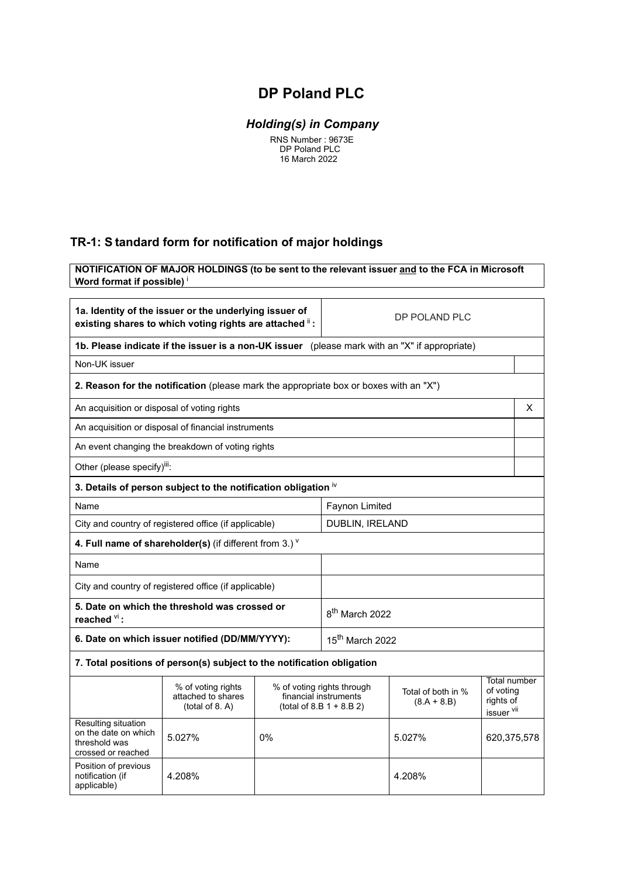## **DP Poland PLC**

## *Holding(s) in Company*

 RNS Number : 9673E DP Poland PLC 16 March 2022

## **TR-1: S tandard form for notification of major holdings**

**NOTIFICATION OF MAJOR HOLDINGS (to be sent to the relevant issuer and to the FCA in Microsoft Word format if possible)** <sup>i</sup>

| 1a. Identity of the issuer or the underlying issuer of<br>existing shares to which voting rights are attached ii: |                                                                                               |                                                                                                                          | DP POLAND PLC               |                                                      |  |   |
|-------------------------------------------------------------------------------------------------------------------|-----------------------------------------------------------------------------------------------|--------------------------------------------------------------------------------------------------------------------------|-----------------------------|------------------------------------------------------|--|---|
|                                                                                                                   | 1b. Please indicate if the issuer is a non-UK issuer (please mark with an "X" if appropriate) |                                                                                                                          |                             |                                                      |  |   |
| Non-UK issuer                                                                                                     |                                                                                               |                                                                                                                          |                             |                                                      |  |   |
|                                                                                                                   | 2. Reason for the notification (please mark the appropriate box or boxes with an "X")         |                                                                                                                          |                             |                                                      |  |   |
|                                                                                                                   | An acquisition or disposal of voting rights                                                   |                                                                                                                          |                             |                                                      |  | X |
|                                                                                                                   | An acquisition or disposal of financial instruments                                           |                                                                                                                          |                             |                                                      |  |   |
|                                                                                                                   | An event changing the breakdown of voting rights                                              |                                                                                                                          |                             |                                                      |  |   |
| Other (please specify) <sup>iii</sup> :                                                                           |                                                                                               |                                                                                                                          |                             |                                                      |  |   |
|                                                                                                                   | 3. Details of person subject to the notification obligation iv                                |                                                                                                                          |                             |                                                      |  |   |
| Name                                                                                                              |                                                                                               |                                                                                                                          | Faynon Limited              |                                                      |  |   |
|                                                                                                                   | City and country of registered office (if applicable)                                         |                                                                                                                          |                             | <b>DUBLIN, IRELAND</b>                               |  |   |
|                                                                                                                   | 4. Full name of shareholder(s) (if different from 3.) $V$                                     |                                                                                                                          |                             |                                                      |  |   |
| Name                                                                                                              |                                                                                               |                                                                                                                          |                             |                                                      |  |   |
|                                                                                                                   | City and country of registered office (if applicable)                                         |                                                                                                                          |                             |                                                      |  |   |
| reached $\frac{vi}{i}$ :                                                                                          | 5. Date on which the threshold was crossed or                                                 |                                                                                                                          | 8 <sup>th</sup> March 2022  |                                                      |  |   |
| 6. Date on which issuer notified (DD/MM/YYYY):                                                                    |                                                                                               |                                                                                                                          | 15 <sup>th</sup> March 2022 |                                                      |  |   |
|                                                                                                                   | 7. Total positions of person(s) subject to the notification obligation                        |                                                                                                                          |                             |                                                      |  |   |
|                                                                                                                   | % of voting rights<br>attached to shares<br>(total of 8. A)                                   | % of voting rights through<br>Total of both in %<br>financial instruments<br>$(8.A + 8.B)$<br>$(total of 8.B 1 + 8.B 2)$ |                             | Total number<br>of voting<br>rights of<br>issuer vil |  |   |
| Resulting situation<br>on the date on which<br>threshold was<br>crossed or reached                                | 5.027%                                                                                        | 0%<br>5.027%                                                                                                             |                             | 620,375,578                                          |  |   |
| Position of previous<br>notification (if<br>applicable)                                                           | 4.208%                                                                                        |                                                                                                                          |                             | 4.208%                                               |  |   |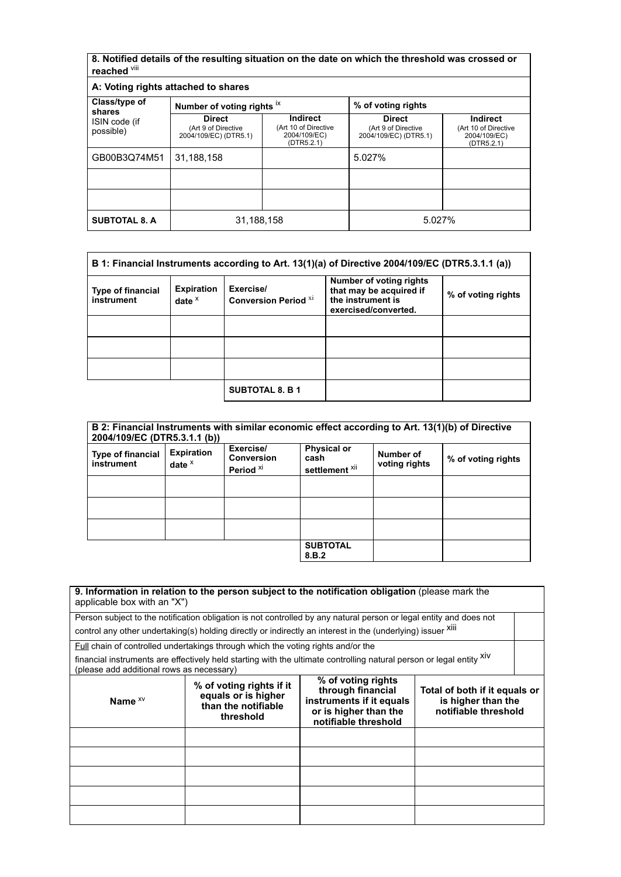**8. Notified details of the resulting situation on the date on which the threshold was crossed or reached** viii

| A: Voting rights attached to shares |                                                               |                                                                       |                                                               |                                                                       |
|-------------------------------------|---------------------------------------------------------------|-----------------------------------------------------------------------|---------------------------------------------------------------|-----------------------------------------------------------------------|
| Class/type of<br>shares             | Number of voting rights ix                                    |                                                                       | % of voting rights                                            |                                                                       |
| ISIN code (if<br>possible)          | <b>Direct</b><br>(Art 9 of Directive<br>2004/109/EC) (DTR5.1) | <b>Indirect</b><br>(Art 10 of Directive<br>2004/109/EC)<br>(DTR5.2.1) | <b>Direct</b><br>(Art 9 of Directive<br>2004/109/EC) (DTR5.1) | <b>Indirect</b><br>(Art 10 of Directive<br>2004/109/EC)<br>(DTR5.2.1) |
| GB00B3Q74M51                        | 31,188,158                                                    |                                                                       | 5.027%                                                        |                                                                       |
|                                     |                                                               |                                                                       |                                                               |                                                                       |
|                                     |                                                               |                                                                       |                                                               |                                                                       |
| <b>SUBTOTAL 8. A</b>                | 31,188,158                                                    |                                                                       | 5.027%                                                        |                                                                       |

|                                        |                                 |                                          | B 1: Financial Instruments according to Art. 13(1)(a) of Directive 2004/109/EC (DTR5.3.1.1 (a)) |                    |
|----------------------------------------|---------------------------------|------------------------------------------|-------------------------------------------------------------------------------------------------|--------------------|
| <b>Type of financial</b><br>instrument | <b>Expiration</b><br>date $x^2$ | Exercise/<br><b>Conversion Period XI</b> | Number of voting rights<br>that may be acquired if<br>the instrument is<br>exercised/converted. | % of voting rights |
|                                        |                                 |                                          |                                                                                                 |                    |
|                                        |                                 |                                          |                                                                                                 |                    |
|                                        |                                 |                                          |                                                                                                 |                    |
|                                        |                                 | <b>SUBTOTAL 8. B 1</b>                   |                                                                                                 |                    |

| 2004/109/EC (DTR5.3.1.1 (b))           |                               |                                                        | B 2: Financial Instruments with similar economic effect according to Art. 13(1)(b) of Directive |                            |                    |
|----------------------------------------|-------------------------------|--------------------------------------------------------|-------------------------------------------------------------------------------------------------|----------------------------|--------------------|
| <b>Type of financial</b><br>instrument | <b>Expiration</b><br>date $x$ | Exercise/<br><b>Conversion</b><br>Period <sup>xi</sup> | <b>Physical or</b><br>cash<br>settlement <sup>xii</sup>                                         | Number of<br>voting rights | % of voting rights |
|                                        |                               |                                                        |                                                                                                 |                            |                    |
|                                        |                               |                                                        |                                                                                                 |                            |                    |
|                                        |                               |                                                        |                                                                                                 |                            |                    |
|                                        |                               |                                                        | <b>SUBTOTAL</b><br>8.B.2                                                                        |                            |                    |

| applicable box with an "X")               | 9. Information in relation to the person subject to the notification obligation (please mark the                     |                                                                                                                      |                                                                             |  |
|-------------------------------------------|----------------------------------------------------------------------------------------------------------------------|----------------------------------------------------------------------------------------------------------------------|-----------------------------------------------------------------------------|--|
|                                           | Person subject to the notification obligation is not controlled by any natural person or legal entity and does not   |                                                                                                                      |                                                                             |  |
|                                           | control any other undertaking(s) holding directly or indirectly an interest in the (underlying) issuer Xili          |                                                                                                                      |                                                                             |  |
|                                           | Full chain of controlled undertakings through which the voting rights and/or the                                     |                                                                                                                      |                                                                             |  |
| (please add additional rows as necessary) | financial instruments are effectively held starting with the ultimate controlling natural person or legal entity XIV |                                                                                                                      |                                                                             |  |
| Name $x_V$                                | % of voting rights if it<br>equals or is higher<br>than the notifiable<br>threshold                                  | % of voting rights<br>through financial<br>instruments if it equals<br>or is higher than the<br>notifiable threshold | Total of both if it equals or<br>is higher than the<br>notifiable threshold |  |
|                                           |                                                                                                                      |                                                                                                                      |                                                                             |  |
|                                           |                                                                                                                      |                                                                                                                      |                                                                             |  |
|                                           |                                                                                                                      |                                                                                                                      |                                                                             |  |
|                                           |                                                                                                                      |                                                                                                                      |                                                                             |  |
|                                           |                                                                                                                      |                                                                                                                      |                                                                             |  |